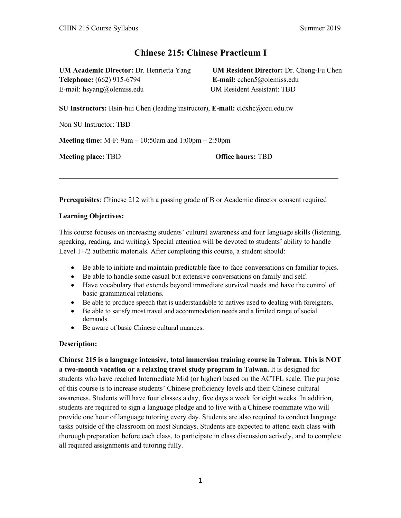# **Chinese 215: Chinese Practicum I**

**UM Academic Director:** Dr. Henrietta Yang **UM Resident Director:** Dr. Cheng-Fu Chen **Telephone:** (662) 915-6794 **E-mail:** cchen5@olemiss.edu E-mail: hsyang@olemiss.edu UM Resident Assistant: TBD

**SU Instructors:** Hsin-hui Chen (leading instructor), **E-mail:** clcxhc@ccu.edu.tw

Non SU Instructor: TBD

**Meeting time:** M-F: 9am – 10:50am and 1:00pm – 2:50pm

**Meeting place: TBD Office hours: TBD** 

**Prerequisites**: Chinese 212 with a passing grade of B or Academic director consent required

#### **Learning Objectives:**

This course focuses on increasing students' cultural awareness and four language skills (listening, speaking, reading, and writing). Special attention will be devoted to students' ability to handle Level 1+/2 authentic materials. After completing this course, a student should:

- Be able to initiate and maintain predictable face-to-face conversations on familiar topics.
- Be able to handle some casual but extensive conversations on family and self.
- Have vocabulary that extends beyond immediate survival needs and have the control of basic grammatical relations.
- Be able to produce speech that is understandable to natives used to dealing with foreigners.
- Be able to satisfy most travel and accommodation needs and a limited range of social demands.
- Be aware of basic Chinese cultural nuances.

#### **Description:**

**Chinese 215 is a language intensive, total immersion training course in Taiwan. This is NOT a two-month vacation or a relaxing travel study program in Taiwan.** It is designed for students who have reached Intermediate Mid (or higher) based on the ACTFL scale. The purpose of this course is to increase students' Chinese proficiency levels and their Chinese cultural awareness. Students will have four classes a day, five days a week for eight weeks. In addition, students are required to sign a language pledge and to live with a Chinese roommate who will provide one hour of language tutoring every day. Students are also required to conduct language tasks outside of the classroom on most Sundays. Students are expected to attend each class with thorough preparation before each class, to participate in class discussion actively, and to complete all required assignments and tutoring fully.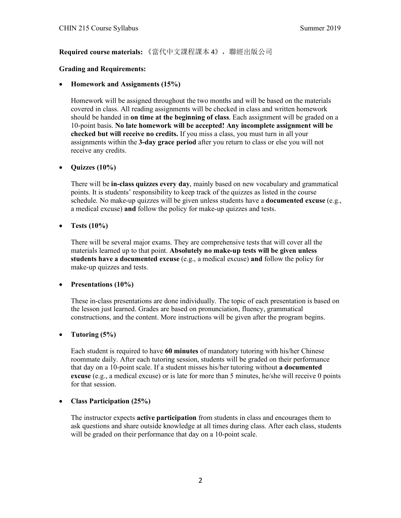**Required course materials:** 《當代中文課程課本 4》,聯經出版公司

## **Grading and Requirements:**

## • **Homework and Assignments (15%)**

Homework will be assigned throughout the two months and will be based on the materials covered in class. All reading assignments will be checked in class and written homework should be handed in **on time at the beginning of class**. Each assignment will be graded on a 10-point basis. **No late homework will be accepted! Any incomplete assignment will be checked but will receive no credits.** If you miss a class, you must turn in all your assignments within the **3-day grace period** after you return to class or else you will not receive any credits.

## • **Quizzes (10%)**

There will be **in-class quizzes every day**, mainly based on new vocabulary and grammatical points. It is students' responsibility to keep track of the quizzes as listed in the course schedule. No make-up quizzes will be given unless students have a **documented excuse** (e.g., a medical excuse) **and** follow the policy for make-up quizzes and tests.

## • **Tests (10%)**

There will be several major exams. They are comprehensive tests that will cover all the materials learned up to that point. **Absolutely no make-up tests will be given unless students have a documented excuse** (e.g., a medical excuse) **and** follow the policy for make-up quizzes and tests.

#### • **Presentations (10%)**

These in-class presentations are done individually. The topic of each presentation is based on the lesson just learned. Grades are based on pronunciation, fluency, grammatical constructions, and the content. More instructions will be given after the program begins.

#### • **Tutoring (5%)**

Each student is required to have **60 minutes** of mandatory tutoring with his/her Chinese roommate daily. After each tutoring session, students will be graded on their performance that day on a 10-point scale. If a student misses his/her tutoring without **a documented excuse** (e.g., a medical excuse) or is late for more than 5 minutes, he/she will receive 0 points for that session.

#### • **Class Participation (25%)**

The instructor expects **active participation** from students in class and encourages them to ask questions and share outside knowledge at all times during class. After each class, students will be graded on their performance that day on a 10-point scale.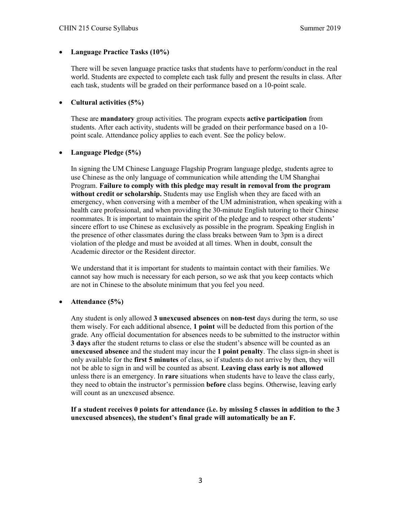## • **Language Practice Tasks (10%)**

There will be seven language practice tasks that students have to perform/conduct in the real world. Students are expected to complete each task fully and present the results in class. After each task, students will be graded on their performance based on a 10-point scale.

## • **Cultural activities (5%)**

These are **mandatory** group activities. The program expects **active participation** from students. After each activity, students will be graded on their performance based on a 10 point scale. Attendance policy applies to each event. See the policy below.

## • **Language Pledge (5%)**

In signing the UM Chinese Language Flagship Program language pledge, students agree to use Chinese as the only language of communication while attending the UM Shanghai Program. **Failure to comply with this pledge may result in removal from the program without credit or scholarship.** Students may use English when they are faced with an emergency, when conversing with a member of the UM administration, when speaking with a health care professional, and when providing the 30-minute English tutoring to their Chinese roommates. It is important to maintain the spirit of the pledge and to respect other students' sincere effort to use Chinese as exclusively as possible in the program. Speaking English in the presence of other classmates during the class breaks between 9am to 3pm is a direct violation of the pledge and must be avoided at all times. When in doubt, consult the Academic director or the Resident director.

We understand that it is important for students to maintain contact with their families. We cannot say how much is necessary for each person, so we ask that you keep contacts which are not in Chinese to the absolute minimum that you feel you need.

# • **Attendance (5%)**

Any student is only allowed **3 unexcused absences** on **non-test** days during the term, so use them wisely. For each additional absence, **1 point** will be deducted from this portion of the grade. Any official documentation for absences needs to be submitted to the instructor within **3 days** after the student returns to class or else the student's absence will be counted as an **unexcused absence** and the student may incur the **1 point penalty**. The class sign-in sheet is only available for the **first 5 minutes** of class, so if students do not arrive by then, they will not be able to sign in and will be counted as absent. **Leaving class early is not allowed** unless there is an emergency. In **rare** situations when students have to leave the class early, they need to obtain the instructor's permission **before** class begins. Otherwise, leaving early will count as an unexcused absence.

**If a student receives 0 points for attendance (i.e. by missing 5 classes in addition to the 3 unexcused absences), the student's final grade will automatically be an F.**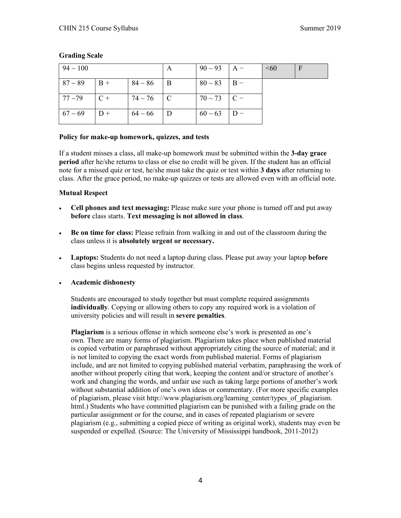| $94 \sim 100$ |       |                  | $\mathsf{A}$ | $90 \sim 93$   A – |       | $\leq 60$ | F |
|---------------|-------|------------------|--------------|--------------------|-------|-----------|---|
| $87 - 89$     | $B +$ | $84 \sim 86$     | ΙB           | $80 \sim 83$       | $B -$ |           |   |
| $77 - 79$     | $C +$ | $74 \sim 76$   C |              | $70 \sim 73$ C –   |       |           |   |
| $67 \sim 69$  | $D +$ | $64 \sim 66$     | l D          | $60 \sim 63$       |       |           |   |

#### **Grading Scale**

## **Policy for make-up homework, quizzes, and tests**

If a student misses a class, all make-up homework must be submitted within the **3-day grace period** after he/she returns to class or else no credit will be given. If the student has an official note for a missed quiz or test, he/she must take the quiz or test within **3 days** after returning to class. After the grace period, no make-up quizzes or tests are allowed even with an official note.

#### **Mutual Respect**

- **Cell phones and text messaging:** Please make sure your phone is turned off and put away **before** class starts. **Text messaging is not allowed in class**.
- **Be on time for class:** Please refrain from walking in and out of the classroom during the class unless it is **absolutely urgent or necessary.**
- **Laptops:** Students do not need a laptop during class. Please put away your laptop **before** class begins unless requested by instructor.
- **Academic dishonesty**

Students are encouraged to study together but must complete required assignments **individually**. Copying or allowing others to copy any required work is a violation of university policies and will result in **severe penalties**.

**Plagiarism** is a serious offense in which someone else's work is presented as one's own. There are many forms of plagiarism. Plagiarism takes place when published material is copied verbatim or paraphrased without appropriately citing the source of material; and it is not limited to copying the exact words from published material. Forms of plagiarism include, and are not limited to copying published material verbatim, paraphrasing the work of another without properly citing that work, keeping the content and/or structure of another's work and changing the words, and unfair use such as taking large portions of another's work without substantial addition of one's own ideas or commentary. (For more specific examples of plagiarism, please visit http://www.plagiarism.org/learning\_center/types\_of\_plagiarism. html.) Students who have committed plagiarism can be punished with a failing grade on the particular assignment or for the course, and in cases of repeated plagiarism or severe plagiarism (e.g., submitting a copied piece of writing as original work), students may even be suspended or expelled. (Source: The University of Mississippi handbook, 2011-2012)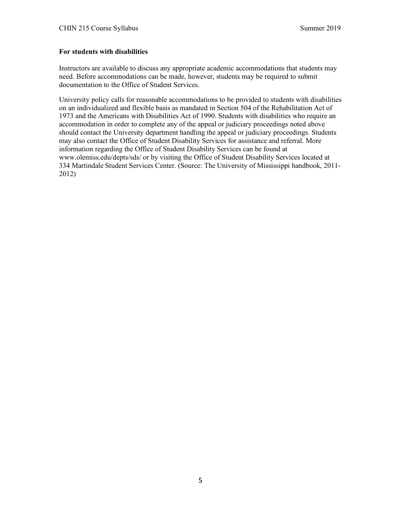## **For students with disabilities**

Instructors are available to discuss any appropriate academic accommodations that students may need. Before accommodations can be made, however, students may be required to submit documentation to the Office of Student Services.

University policy calls for reasonable accommodations to be provided to students with disabilities on an individualized and flexible basis as mandated in Section 504 of the Rehabilitation Act of 1973 and the Americans with Disabilities Act of 1990. Students with disabilities who require an accommodation in order to complete any of the appeal or judiciary proceedings noted above should contact the University department handling the appeal or judiciary proceedings. Students may also contact the Office of Student Disability Services for assistance and referral. More information regarding the Office of Student Disability Services can be found at www.olemiss.edu/depts/sds/ or by visiting the Office of Student Disability Services located at 334 Martindale Student Services Center. (Source: The University of Mississippi handbook, 2011- 2012)